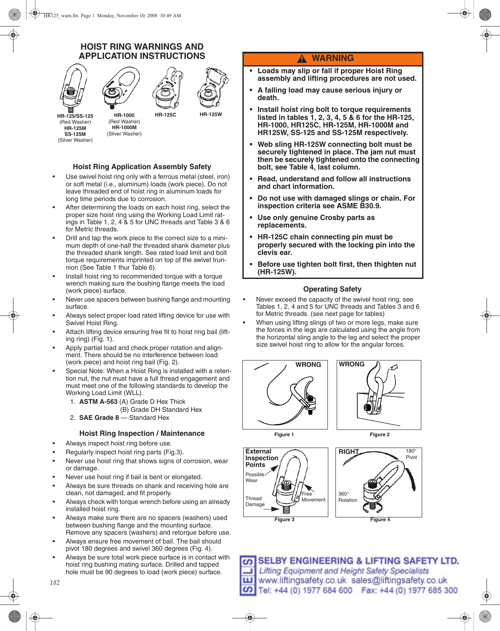## **HOIST RING WARNINGS AND APPLICATION INSTRUCTIONS**



### **Hoist Ring Application Assembly Safety**

- Use swivel hoist ring only with a ferrous metal (steel, iron) or soft metal (i.e., aluminum) loads (work piece). Do not leave threaded end of hoist ring in aluminum loads for long time periods due to corrosion.
- After determining the loads on each hoist ring, select the proper size hoist ring using the Working Load Limit ratings in Table 1, 2, 4 & 5 for UNC threads and Table 3 & 6 for Metric threads.
- Drill and tap the work piece to the correct size to a minimum depth of one-half the threaded shank diameter plus the threaded shank length. See rated load limit and bolt torque requirements imprinted on top of the swivel trunnion (See Table 1 thur Table 6).
- Install hoist ring to recommended torque with a torque wrench making sure the bushing flange meets the load (work piece) surface.
- Never use spacers between bushing flange and mounting surface.
- Always select proper load rated lifting device for use with Swivel Hoist Ring.
- Attach lifting device ensuring free fit to hoist ring bail (lifting ring) (Fig. 1).
- Apply partial load and check proper rotation and alignment. There should be no interference between load (work piece) and hoist ring bail (Fig. 2).
- Special Note: When a Hoist Ring is installed with a retention nut, the nut must have a full thread engagement and must meet one of the following standards to develop the Working Load Limit (WLL).
	- 1. **ASTM A-563** (A) Grade D Hex Thick
		- (B) Grade DH Standard Hex
	- 2. **SAE Grade 8**  Standard Hex

#### **Hoist Ring Inspection / Maintenance**

- Always inspect hoist ring before use.
- Regularly inspect hoist ring parts (Fig.3).
- Never use hoist ring that shows signs of corrosion, wear or damage.
- Never use hoist ring if bail is bent or elongated.
- Always be sure threads on shank and receiving hole are clean, not damaged, and fit properly.
- Always check with torque wrench before using an already installed hoist ring.
- Always make sure there are no spacers (washers) used between bushing flange and the mounting surface. Remove any spacers (washers) and retorque before use.
- Always ensure free movement of bail. The bail should pivot 180 degrees and swivel 360 degrees (Fig. 4).
- Always be sure total work piece surface is in contact with hoist ring bushing mating surface. Drilled and tapped hole must be 90 degrees to load (work piece) surface.

## **WARNING**

- **Loads may slip or fall if proper Hoist Ring assembly and lifting procedures are not used.**
- **A falling load may cause serious injury or death.**
- **Install hoist ring bolt to torque requirements listed in tables 1, 2, 3, 4, 5 & 6 for the HR-125, HR-1000, HR125C, HR-125M, HR-1000M and HR125W, SS-125 and SS-125M respectively.**
- **Web sling HR-125W connecting bolt must be securely tightened in place. The jam nut must then be securely tightened onto the connecting bolt, see Table 4, last column.**
- **Read, understand and follow all instructions and chart information.**
- **Do not use with damaged slings or chain. For inspection criteria see ASME B30.9.**
- **Use only genuine Crosby parts as replacements.**
- **HR-125C chain connecting pin must be properly secured with the locking pin into the clevis ear.**
- **Before use tighten bolt first, then thighten nut (HR-125W).**

#### **Operating Safety**

- Never exceed the capacity of the swivel hoist ring, see Tables 1, 2, 4 and 5 for UNC threads and Tables 3 and 6 for Metric threads. (see next page for tables)
- When using lifting slings of two or more legs, make sure the forces in the legs are calculated using the angle from the horizontal sling angle to the leg and select the proper size swivel hoist ring to allow for the angular forces.













**SELBY ENGINEERING & LIFTING SAFETY LTD.** ഗ *Rev.4* ш *Copyright © 2008 The Crosby Group, Inc. (el: +44 (0) 1977 684 600 Fax: +44 (0) 1977 685 300* 

*182*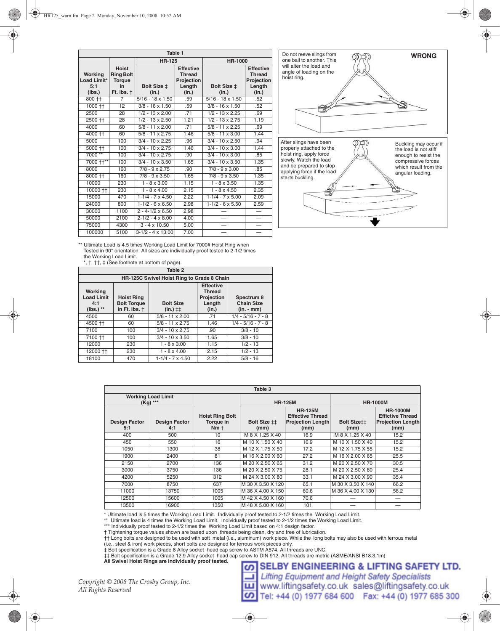| Table 1                                 |                                                                                            |                           |                                                                    |                                    |                                                                   |  |  |
|-----------------------------------------|--------------------------------------------------------------------------------------------|---------------------------|--------------------------------------------------------------------|------------------------------------|-------------------------------------------------------------------|--|--|
|                                         |                                                                                            | <b>HR-125</b>             |                                                                    | HR-1000                            |                                                                   |  |  |
| Working<br>Load Limit*<br>5:1<br>(lbs.) | <b>Hoist</b><br><b>Ring Bolt</b><br><b>Torque</b><br>in.<br>Ft. $\mathsf{Ibs}$ . $\dagger$ | Bolt Size ±<br>(in.)      | <b>Effective</b><br><b>Thread</b><br>Projection<br>Length<br>(in.) | Bolt Size ±<br>(in.)               | <b>Effective</b><br><b>Thread</b><br>Projectio<br>Length<br>(in.) |  |  |
| 800 ††                                  | $\overline{7}$                                                                             | $5/16 - 18 \times 1.50$   | .59                                                                | $\frac{1}{5}{16} - 18 \times 1.50$ | .52                                                               |  |  |
| $1000 + +$                              | 12                                                                                         | $3/8 - 16 \times 1.50$    | .59                                                                | $3/8 - 16 \times 1.50$             | .52                                                               |  |  |
| 2500                                    | 28                                                                                         | $1/2 - 13 \times 2.00$    | .71                                                                | $1/2 - 13 \times 2.25$             | .69                                                               |  |  |
| 2500 ++                                 | 28                                                                                         | $1/2 - 13 \times 2.50$    | 1.21                                                               | $1/2 - 13 \times 2.75$             | 1.19                                                              |  |  |
| 4000                                    | 60                                                                                         | $5/8 - 11 \times 2.00$    | .71                                                                | $5/8 - 11 \times 2.25$             | .69                                                               |  |  |
| $4000 + +$                              | 60                                                                                         | $5/8 - 11 \times 2.75$    | 1.46                                                               | $5/8 - 11 \times 3.00$             | 1.44                                                              |  |  |
| 5000                                    | 100                                                                                        | $3/4 - 10 \times 2.25$    | .96                                                                | $3/4 - 10 \times 2.50$             | .94                                                               |  |  |
| 5000 ††                                 | 100                                                                                        | $3/4 - 10 \times 2.75$    | 1.46                                                               | $3/4 - 10 \times 3.00$             | 1.44                                                              |  |  |
| 7000 **                                 | 100                                                                                        | $3/4 - 10 \times 2.75$    | .90                                                                | $\sqrt{3/4}$ - 10 x 3.00           | .85                                                               |  |  |
| 7000 ++**                               | 100                                                                                        | $3/4 - 10 \times 3.50$    | 1.65                                                               | $3/4 - 10 \times 3.50$             | 1.35                                                              |  |  |
| 8000                                    | 160                                                                                        | $7/8 - 9 \times 2.75$     | .90                                                                | $7/8 - 9 \times 3.00$              | .85                                                               |  |  |
| 8000 ††                                 | 160                                                                                        | $7/8 - 9 \times 3.50$     | 1.65                                                               | $7/8 - 9 \times 3.50$              | 1.35                                                              |  |  |
| 10000                                   | 230                                                                                        | $1 - 8 \times 3.00$       | 1.15                                                               | $1 - 8 \times 3.50$                | 1.35                                                              |  |  |
| 10000 ††                                | 230                                                                                        | $1 - 8 \times 4.00$       | 2.15                                                               | $1 - 8 \times 4.50$                | 2.35                                                              |  |  |
| 15000                                   | 470                                                                                        | $1 - 1/4 - 7 \times 4.50$ | 2.22                                                               | $1 - 1/4 - 7 \times 5.00$          | 2.09                                                              |  |  |
| 24000                                   | 800                                                                                        | $1 - 1/2 - 6 \times 6.50$ | 2.98                                                               | $1-1/2 - 6 \times 5.50$            | 2.59                                                              |  |  |
| 30000                                   | 1100                                                                                       | $2 - 4 - 1/2 \times 6.50$ | 2.98                                                               |                                    |                                                                   |  |  |
| 50000                                   | 2100                                                                                       | $2 - 1/2 - 4 \times 8.00$ | 4.00                                                               | $\overline{\phantom{0}}$           |                                                                   |  |  |
| 75000                                   | 4300                                                                                       | $3 - 4 \times 10.50$      | 5.00                                                               |                                    |                                                                   |  |  |
| 100000                                  | 5100                                                                                       | $3-1/2 - 4 \times 13.00$  | 7.00                                                               | $\overline{\phantom{0}}$           | $\overline{\phantom{0}}$                                          |  |  |



\*\* Ultimate Load is 4.5 times Working Load Limit for 7000# Hoist Ring when Tested in 90° orientation. All sizes are individually proof tested to 2-1/2 times the Working Load Limit.

\*, †, ††, ‡ (See footnote at bottom of page).

| Table 2                                            |                                                                                                                                                                                                                                     |                                            |      |                      |  |  |
|----------------------------------------------------|-------------------------------------------------------------------------------------------------------------------------------------------------------------------------------------------------------------------------------------|--------------------------------------------|------|----------------------|--|--|
|                                                    |                                                                                                                                                                                                                                     | HR-125C Swivel Hoist Ring to Grade 8 Chain |      |                      |  |  |
| Working<br><b>Load Limit</b><br>4:1<br>$(lbs.)$ ** | <b>Effective</b><br><b>Thread</b><br>Projection<br><b>Hoist Ring</b><br>Spectrum 8<br><b>Chain Size</b><br><b>Bolt Torque</b><br><b>Bolt Size</b><br>Length<br>in Ft. lbs. +<br>$(in.)$ $\ddagger\ddagger$<br>$(in. - mm)$<br>(in.) |                                            |      |                      |  |  |
| 4500                                               | 60                                                                                                                                                                                                                                  | $5/8 - 11 \times 2.00$                     | .71  | $1/4 - 5/16 - 7 - 8$ |  |  |
| 4500 ++                                            | 60                                                                                                                                                                                                                                  | $5/8 - 11 \times 2.75$                     | 1.46 | $1/4 - 5/16 - 7 - 8$ |  |  |
| 7100                                               | 100                                                                                                                                                                                                                                 | $3/4 - 10 \times 2.75$                     | .90  | $3/8 - 10$           |  |  |
| 7100 ++                                            | 100                                                                                                                                                                                                                                 | $3/4 - 10 \times 3.50$                     | 1.65 | $3/8 - 10$           |  |  |
| 12000                                              | 230                                                                                                                                                                                                                                 | $1 - 8 \times 3.00$                        | 1.15 | $1/2 - 13$           |  |  |
| 12000 11                                           | 230                                                                                                                                                                                                                                 | $1 - 8 \times 4.00$                        | 2.15 | $1/2 - 13$           |  |  |
| 18100                                              | 470                                                                                                                                                                                                                                 | $1 - 1/4 - 7 \times 4.50$                  | 2.22 | $5/8 - 16$           |  |  |

| Table 3                               |                             |                                              |                             |                                                                               |                            |                                                                                |  |
|---------------------------------------|-----------------------------|----------------------------------------------|-----------------------------|-------------------------------------------------------------------------------|----------------------------|--------------------------------------------------------------------------------|--|
| <b>Working Load Limit</b><br>(Kg) *** |                             |                                              |                             | <b>HR-125M</b>                                                                | <b>HR-1000M</b>            |                                                                                |  |
| <b>Design Factor</b><br>5:1           | <b>Design Factor</b><br>4:1 | <b>Hoist Ring Bolt</b><br>Torque in<br>$Nm+$ | <b>Bolt Size ##</b><br>(mm) | <b>HR-125M</b><br><b>Effective Thread</b><br><b>Projection Length</b><br>(mm) | <b>Bolt Sizett</b><br>(mm) | <b>HR-1000M</b><br><b>Effictive Thread</b><br><b>Projection Length</b><br>(mm) |  |
| 400                                   | 500                         | 10                                           | M 8 X 1.25 X 40             | 16.9                                                                          | M 8 X 1.25 X 40            | 15.2                                                                           |  |
| 450                                   | 550                         | 16                                           | M 10 X 1.50 X 40            | 16.9                                                                          | M 10 X 1.50 X 40           | 15.2                                                                           |  |
| 1050                                  | 1300                        | 38                                           | M 12 X 1.75 X 50            | 17.2                                                                          | M 12 X 1.75 X 55           | 15.2                                                                           |  |
| 1900                                  | 2400                        | 81                                           | M 16 X 2.00 X 60            | 27.2                                                                          | M 16 X 2.00 X 65           | 25.5                                                                           |  |
| 2150                                  | 2700                        | 136                                          | M 20 X 2.50 X 65            | 31.2                                                                          | M 20 X 2.50 X 70           | 30.5                                                                           |  |
| 3000                                  | 3750                        | 136                                          | M 20 X 2.50 X 75            | 28.1                                                                          | M 20 X 2.50 X 80           | 25.4                                                                           |  |
| 4200                                  | 5250                        | 312                                          | M 24 X 3.00 X 80            | 33.1                                                                          | M 24 X 3.00 X 90           | 35.4                                                                           |  |
| 7000                                  | 8750                        | 637                                          | M 30 X 3.50 X 120           | 65.1                                                                          | M 30 X 3.50 X 140          | 66.2                                                                           |  |
| 11000                                 | 13750                       | 1005                                         | M 36 X 4.00 X 150           | 60.6                                                                          | M 36 X 4.00 X 130          | 56.2                                                                           |  |
| 12500                                 | 15600                       | 1005                                         | M 42 X 4.50 X 160           | 70.6                                                                          |                            |                                                                                |  |
| 13500                                 | 16900                       | 1350                                         | M 48 X 5.00 X 160           | 101                                                                           |                            |                                                                                |  |

\* Ultimate load is 5 times the Working Load Limit. Individually proof tested to 2-1/2 times the Working Load Limit.

\*\* Ultimate load is 4 times the Working Load Limit. Individually proof tested to 2-1/2 times the Working Load Limit. \*\*\* Individually proof tested to 2-1/2 times the Working Load Limit based on 4:1 design factor.

† Tightening torque values shown are based upon threads being clean, dry and free of lubrication.

†† Long bolts are designed to be used with soft metal (i.e., aluminum) work piece. While the long bolts may also be used with ferrous metal

(i.e., steel & iron) work pieces, short bolts are designed for ferrous work pieces only.

‡ Bolt specification is a Grade 8 Alloy socket head cap screw to ASTM A574. All threads are UNC.

‡‡ Bolt specification is a Grade 12.9 Alloy socket head cap screw to DIN 912. All threads are metric (ASME/ANSI B18.3.1m) **All Swivel Hoist Rings are individually proof tested.**

**SELBY ENGINEERING & LIFTING SAFETY LTD.** ဖာ

*Copyright © 2008 The Crosby Group, Inc. All Rights Reserved*

**Lifting Equipment and Height Safety Specialists** www.liftingsafety.co.uk sales@liftingsafety.co.uk CO Tel: +44 (0) 1977 684 600 Fax: +44 (0) 1977 685 300